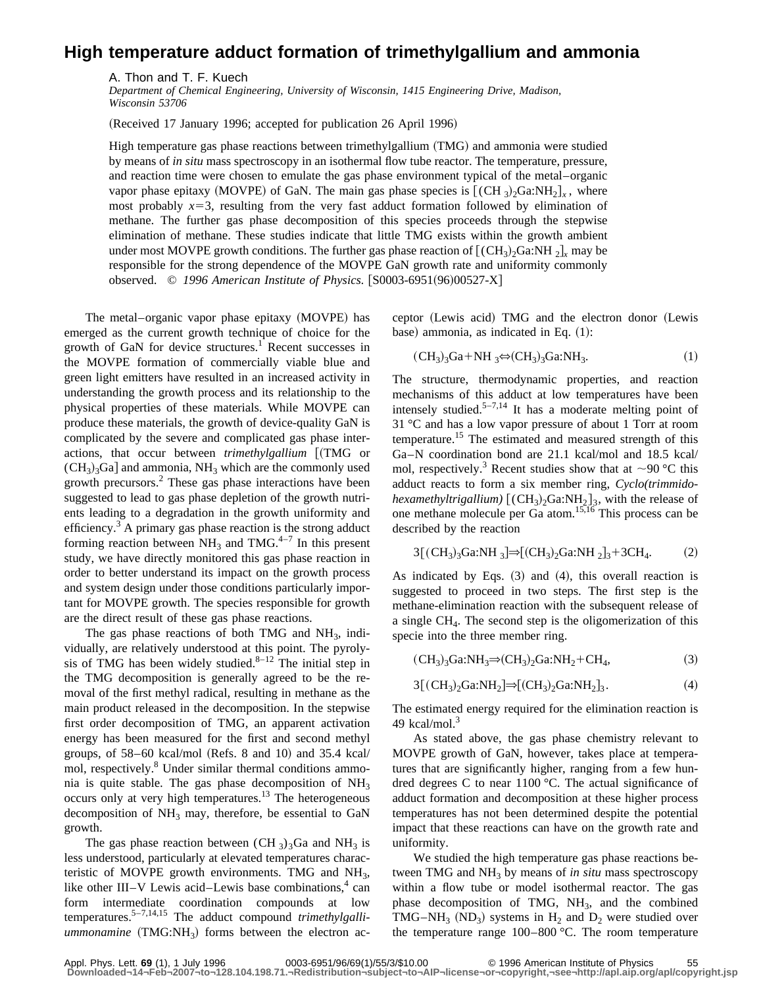## **High temperature adduct formation of trimethylgallium and ammonia**

A. Thon and T. F. Kuech

*Department of Chemical Engineering, University of Wisconsin, 1415 Engineering Drive, Madison, Wisconsin 53706*

(Received 17 January 1996; accepted for publication 26 April 1996)

High temperature gas phase reactions between trimethylgallium (TMG) and ammonia were studied by means of *in situ* mass spectroscopy in an isothermal flow tube reactor. The temperature, pressure, and reaction time were chosen to emulate the gas phase environment typical of the metal–organic vapor phase epitaxy (MOVPE) of GaN. The main gas phase species is  $[(CH_3)_2Ga:NH_2]_x$ , where most probably  $x=3$ , resulting from the very fast adduct formation followed by elimination of methane. The further gas phase decomposition of this species proceeds through the stepwise elimination of methane. These studies indicate that little TMG exists within the growth ambient under most MOVPE growth conditions. The further gas phase reaction of  $[(CH<sub>3</sub>)<sub>2</sub>Ga:NH<sub>2</sub>]$ <sub>x</sub> may be responsible for the strong dependence of the MOVPE GaN growth rate and uniformity commonly observed. © 1996 American Institute of Physics. [S0003-6951(96)00527-X]

The metal-organic vapor phase epitaxy (MOVPE) has emerged as the current growth technique of choice for the growth of GaN for device structures.<sup>1</sup> Recent successes in the MOVPE formation of commercially viable blue and green light emitters have resulted in an increased activity in understanding the growth process and its relationship to the physical properties of these materials. While MOVPE can produce these materials, the growth of device-quality GaN is complicated by the severe and complicated gas phase interactions, that occur between *trimethylgallium* [(TMG or  $(CH_3)$ <sub>3</sub>Ga] and ammonia, NH<sub>3</sub> which are the commonly used growth precursors.<sup>2</sup> These gas phase interactions have been suggested to lead to gas phase depletion of the growth nutrients leading to a degradation in the growth uniformity and efficiency. $3$  A primary gas phase reaction is the strong adduct forming reaction between  $NH_3$  and TMG.<sup>4–7</sup> In this present study, we have directly monitored this gas phase reaction in order to better understand its impact on the growth process and system design under those conditions particularly important for MOVPE growth. The species responsible for growth are the direct result of these gas phase reactions.

The gas phase reactions of both TMG and  $NH<sub>3</sub>$ , individually, are relatively understood at this point. The pyrolysis of TMG has been widely studied. $8-12$  The initial step in the TMG decomposition is generally agreed to be the removal of the first methyl radical, resulting in methane as the main product released in the decomposition. In the stepwise first order decomposition of TMG, an apparent activation energy has been measured for the first and second methyl groups, of  $58-60$  kcal/mol (Refs. 8 and 10) and 35.4 kcal/ mol, respectively.8 Under similar thermal conditions ammonia is quite stable. The gas phase decomposition of  $NH<sub>3</sub>$ occurs only at very high temperatures.13 The heterogeneous decomposition of  $NH_3$  may, therefore, be essential to GaN growth.

The gas phase reaction between (CH  $_3$ )<sub>3</sub>Ga and NH<sub>3</sub> is less understood, particularly at elevated temperatures characteristic of MOVPE growth environments. TMG and  $NH<sub>3</sub>$ , like other III–V Lewis acid–Lewis base combinations, $4 \text{ can}$ form intermediate coordination compounds at low temperatures.5–7,14,15 The adduct compound *trimethylgalliummonamine* (TMG:NH<sub>3</sub>) forms between the electron acceptor (Lewis acid) TMG and the electron donor (Lewis base) ammonia, as indicated in Eq.  $(1)$ :

$$
(CH3)3Ga+NH3\Leftrightarrow (CH3)3Ga:NH3.
$$
 (1)

The structure, thermodynamic properties, and reaction mechanisms of this adduct at low temperatures have been intensely studied.<sup>5-7,14</sup> It has a moderate melting point of 31 °C and has a low vapor pressure of about 1 Torr at room temperature.15 The estimated and measured strength of this Ga–N coordination bond are 21.1 kcal/mol and 18.5 kcal/ mol, respectively.<sup>3</sup> Recent studies show that at  $\sim$ 90 °C this adduct reacts to form a six member ring, *Cyclo(trimmidohexamethyltrigallium*)  $[(CH_3)_2Ga:NH_2]_3$ , with the release of one methane molecule per Ga atom.15,16 This process can be described by the reaction

$$
3[(CH_3)_3Ga:NH_3] \Rightarrow [(CH_3)_2Ga:NH_2]_3 + 3CH_4. \tag{2}
$$

As indicated by Eqs.  $(3)$  and  $(4)$ , this overall reaction is suggested to proceed in two steps. The first step is the methane-elimination reaction with the subsequent release of a single  $CH<sub>4</sub>$ . The second step is the oligomerization of this specie into the three member ring.

$$
(CH3)3Ga:NH3\Rightarrow (CH3)2Ga:NH2+CH4, (3)
$$

$$
3[(CH_3)_2Ga:NH_2] \Rightarrow [(CH_3)_2Ga:NH_2]_3. \tag{4}
$$

The estimated energy required for the elimination reaction is 49 kcal/mol. $3$ 

As stated above, the gas phase chemistry relevant to MOVPE growth of GaN, however, takes place at temperatures that are significantly higher, ranging from a few hundred degrees C to near 1100 °C. The actual significance of adduct formation and decomposition at these higher process temperatures has not been determined despite the potential impact that these reactions can have on the growth rate and uniformity.

We studied the high temperature gas phase reactions between TMG and NH<sub>3</sub> by means of *in situ* mass spectroscopy within a flow tube or model isothermal reactor. The gas phase decomposition of TMG,  $NH<sub>3</sub>$ , and the combined TMG–NH<sub>3</sub> (ND<sub>3</sub>) systems in H<sub>2</sub> and D<sub>2</sub> were studied over the temperature range 100–800 °C. The room temperature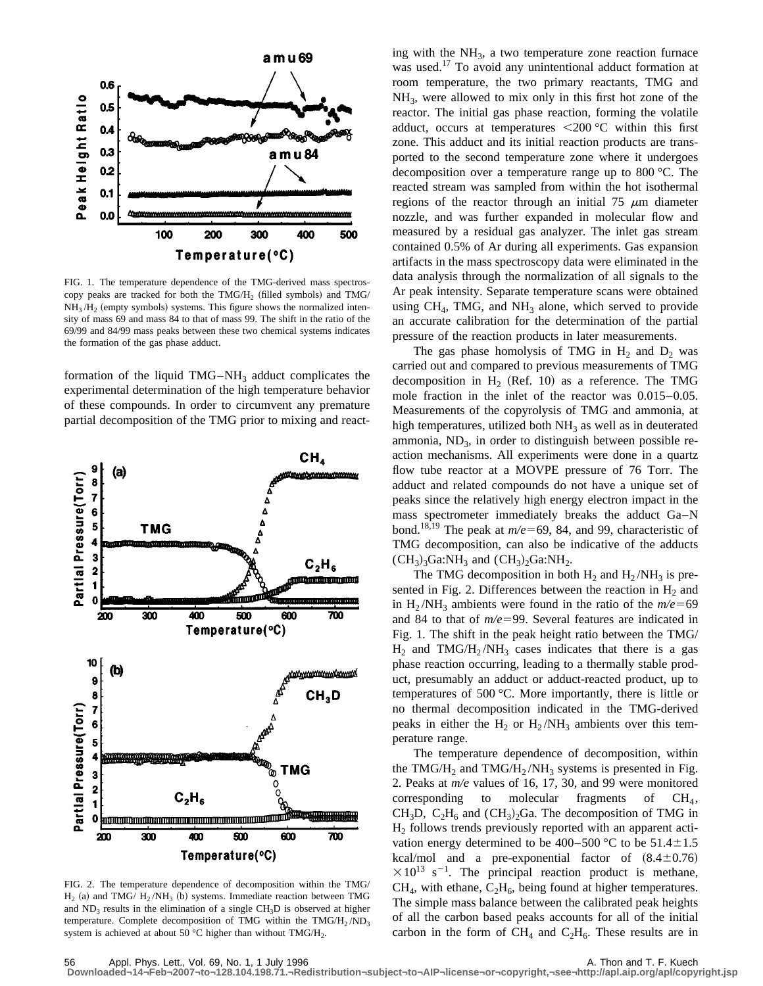

FIG. 1. The temperature dependence of the TMG-derived mass spectroscopy peaks are tracked for both the  $TMG/H_2$  (filled symbols) and  $TMG/$  $NH<sub>3</sub>/H<sub>2</sub>$  (empty symbols) systems. This figure shows the normalized intensity of mass 69 and mass 84 to that of mass 99. The shift in the ratio of the 69/99 and 84/99 mass peaks between these two chemical systems indicates the formation of the gas phase adduct.

formation of the liquid  $TMG-NH_3$  adduct complicates the experimental determination of the high temperature behavior of these compounds. In order to circumvent any premature partial decomposition of the TMG prior to mixing and react-



FIG. 2. The temperature dependence of decomposition within the TMG/  $H_2$  (a) and TMG/  $H_2/NH_3$  (b) systems. Immediate reaction between TMG and  $ND_3$  results in the elimination of a single  $CH_3D$  is observed at higher temperature. Complete decomposition of TMG within the TMG/H<sub>2</sub>/ND<sub>3</sub> system is achieved at about 50 °C higher than without TMG/H<sub>2</sub>.

ing with the  $NH<sub>3</sub>$ , a two temperature zone reaction furnace was used.<sup>17</sup> To avoid any unintentional adduct formation at room temperature, the two primary reactants, TMG and NH3, were allowed to mix only in this first hot zone of the reactor. The initial gas phase reaction, forming the volatile adduct, occurs at temperatures  $\leq 200$  °C within this first zone. This adduct and its initial reaction products are transported to the second temperature zone where it undergoes decomposition over a temperature range up to 800 °C. The reacted stream was sampled from within the hot isothermal regions of the reactor through an initial  $75 \mu m$  diameter nozzle, and was further expanded in molecular flow and measured by a residual gas analyzer. The inlet gas stream contained 0.5% of Ar during all experiments. Gas expansion artifacts in the mass spectroscopy data were eliminated in the data analysis through the normalization of all signals to the Ar peak intensity. Separate temperature scans were obtained using  $CH<sub>4</sub>$ , TMG, and  $NH<sub>3</sub>$  alone, which served to provide an accurate calibration for the determination of the partial pressure of the reaction products in later measurements.

The gas phase homolysis of TMG in  $H_2$  and  $D_2$  was carried out and compared to previous measurements of TMG decomposition in  $H<sub>2</sub>$  (Ref. 10) as a reference. The TMG mole fraction in the inlet of the reactor was 0.015–0.05. Measurements of the copyrolysis of TMG and ammonia, at high temperatures, utilized both  $NH<sub>3</sub>$  as well as in deuterated ammonia,  $ND_3$ , in order to distinguish between possible reaction mechanisms. All experiments were done in a quartz flow tube reactor at a MOVPE pressure of 76 Torr. The adduct and related compounds do not have a unique set of peaks since the relatively high energy electron impact in the mass spectrometer immediately breaks the adduct Ga–N bond.<sup>18,19</sup> The peak at  $m/e$ =69, 84, and 99, characteristic of TMG decomposition, can also be indicative of the adducts  $(CH_3)_3Ga:NH_3$  and  $(CH_3)_2Ga:NH_2$ .

The TMG decomposition in both  $H_2$  and  $H_2/NH_3$  is presented in Fig. 2. Differences between the reaction in  $H_2$  and in H<sub>2</sub>/NH<sub>3</sub> ambients were found in the ratio of the  $m/e=69$ and 84 to that of  $m/e=99$ . Several features are indicated in Fig. 1. The shift in the peak height ratio between the TMG/  $H_2$  and TMG/H<sub>2</sub>/NH<sub>3</sub> cases indicates that there is a gas phase reaction occurring, leading to a thermally stable product, presumably an adduct or adduct-reacted product, up to temperatures of 500 °C. More importantly, there is little or no thermal decomposition indicated in the TMG-derived peaks in either the  $H_2$  or  $H_2/NH_3$  ambients over this temperature range.

The temperature dependence of decomposition, within the TMG/H<sub>2</sub> and TMG/H<sub>2</sub>/NH<sub>3</sub> systems is presented in Fig. 2. Peaks at *m/e* values of 16, 17, 30, and 99 were monitored corresponding to molecular fragments of  $CH<sub>4</sub>$ , CH<sub>3</sub>D, C<sub>2</sub>H<sub>6</sub> and (CH<sub>3</sub>)<sub>2</sub>Ga. The decomposition of TMG in  $H<sub>2</sub>$  follows trends previously reported with an apparent activation energy determined to be 400–500 °C to be  $51.4 \pm 1.5$ kcal/mol and a pre-exponential factor of  $(8.4\pm0.76)$  $\times 10^{13}$  s<sup>-1</sup>. The principal reaction product is methane,  $CH<sub>4</sub>$ , with ethane,  $C<sub>2</sub>H<sub>6</sub>$ , being found at higher temperatures. The simple mass balance between the calibrated peak heights of all the carbon based peaks accounts for all of the initial carbon in the form of  $CH_4$  and  $C_2H_6$ . These results are in